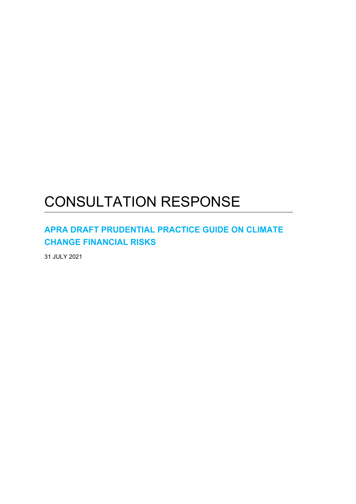# CONSULTATION RESPONSE

# **APRA DRAFT PRUDENTIAL PRACTICE GUIDE ON CLIMATE CHANGE FINANCIAL RISKS**

31 JULY 2021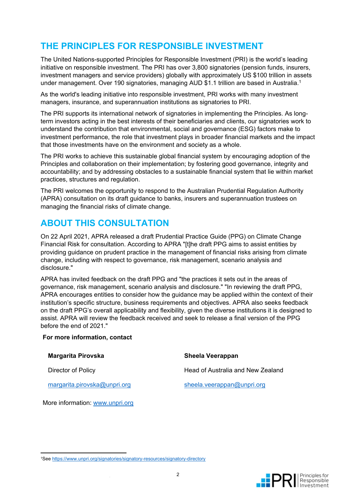# **THE PRINCIPLES FOR RESPONSIBLE INVESTMENT**

The United Nations-supported Principles for Responsible Investment (PRI) is the world's leading initiative on responsible investment. The PRI has over 3,800 signatories (pension funds, insurers, investment managers and service providers) globally with approximately US \$100 trillion in assets under management. Over 190 signatories, managing AUD \$1.1 trillion are based in Australia.<sup>1</sup>

As the world's leading initiative into responsible investment, PRI works with many investment managers, insurance, and superannuation institutions as signatories to PRI.

The PRI supports its international network of signatories in implementing the Principles. As longterm investors acting in the best interests of their beneficiaries and clients, our signatories work to understand the contribution that environmental, social and governance (ESG) factors make to investment performance, the role that investment plays in broader financial markets and the impact that those investments have on the environment and society as a whole.

The PRI works to achieve this sustainable global financial system by encouraging adoption of the Principles and collaboration on their implementation; by fostering good governance, integrity and accountability; and by addressing obstacles to a sustainable financial system that lie within market practices, structures and regulation.

The PRI welcomes the opportunity to respond to the Australian Prudential Regulation Authority (APRA) consultation on its draft guidance to banks, insurers and superannuation trustees on managing the financial risks of climate change.

# **ABOUT THIS CONSULTATION**

On 22 April 2021, APRA released a draft Prudential Practice Guide (PPG) on Climate Change Financial Risk for consultation. According to APRA "[t]he draft PPG aims to assist entities by providing guidance on prudent practice in the management of financial risks arising from climate change, including with respect to governance, risk management, scenario analysis and disclosure."

APRA has invited feedback on the draft PPG and "the practices it sets out in the areas of governance, risk management, scenario analysis and disclosure." "In reviewing the draft PPG, APRA encourages entities to consider how the guidance may be applied within the context of their institution's specific structure, business requirements and objectives. APRA also seeks feedback on the draft PPG's overall applicability and flexibility, given the diverse institutions it is designed to assist. APRA will review the feedback received and seek to release a final version of the PPG before the end of 2021."

#### **For more information, contact**

| Margarita Pirovska           | <b>Sheela Veerappan</b>           |
|------------------------------|-----------------------------------|
| Director of Policy           | Head of Australia and New Zealand |
| margarita.pirovska@unpri.org | sheela.veerappan@unpri.org        |

More information: www.unpri.org



<sup>1</sup>See https://www.unpri.org/signatories/signatory-resources/signatory-directory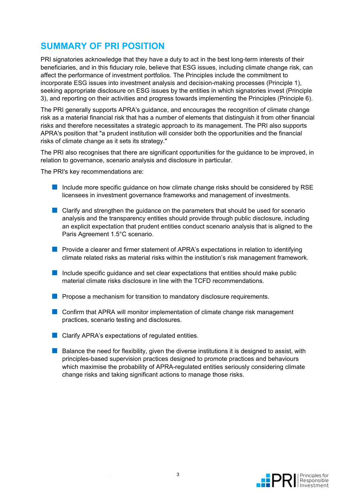# **SUMMARY OF PRI POSITION**

PRI signatories acknowledge that they have a duty to act in the best long-term interests of their beneficiaries, and in this fiduciary role, believe that ESG issues, including climate change risk, can affect the performance of investment portfolios. The Principles include the commitment to incorporate ESG issues into investment analysis and decision-making processes (Principle 1), seeking appropriate disclosure on ESG issues by the entities in which signatories invest (Principle 3), and reporting on their activities and progress towards implementing the Principles (Principle 6).

The PRI generally supports APRA's guidance, and encourages the recognition of climate change risk as a material financial risk that has a number of elements that distinguish it from other financial risks and therefore necessitates a strategic approach to its management. The PRI also supports APRA's position that "a prudent institution will consider both the opportunities and the financial risks of climate change as it sets its strategy."

The PRI also recognises that there are significant opportunities for the guidance to be improved, in relation to governance, scenario analysis and disclosure in particular.

The PRI's key recommendations are:

- Include more specific quidance on how climate change risks should be considered by RSE licensees in investment governance frameworks and management of investments.
- Clarify and strengthen the guidance on the parameters that should be used for scenario analysis and the transparency entities should provide through public disclosure, including an explicit expectation that prudent entities conduct scenario analysis that is aligned to the Paris Agreement 1.5°C scenario.
- Provide a clearer and firmer statement of APRA's expectations in relation to identifying climate related risks as material risks within the institution's risk management framework.
- Include specific guidance and set clear expectations that entities should make public material climate risks disclosure in line with the TCFD recommendations.
- Propose a mechanism for transition to mandatory disclosure requirements.
- Confirm that APRA will monitor implementation of climate change risk management practices, scenario testing and disclosures.
- Clarify APRA's expectations of regulated entities.
- Balance the need for flexibility, given the diverse institutions it is designed to assist, with principles-based supervision practices designed to promote practices and behaviours which maximise the probability of APRA-regulated entities seriously considering climate change risks and taking significant actions to manage those risks.

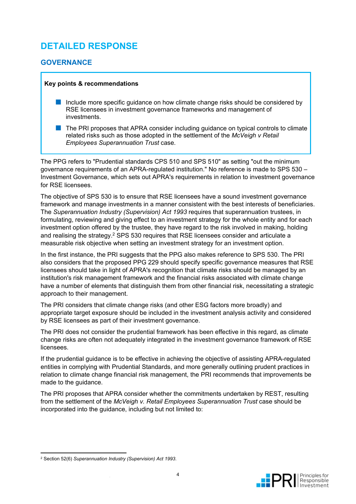# **DETAILED RESPONSE**

### **GOVERNANCE**

#### **Key points & recommendations**

- Include more specific guidance on how climate change risks should be considered by RSE licensees in investment governance frameworks and management of investments.
- The PRI proposes that APRA consider including guidance on typical controls to climate related risks such as those adopted in the settlement of the *McVeigh v Retail Employees Superannuation Trust* case.

The PPG refers to "Prudential standards CPS 510 and SPS 510" as setting "out the minimum governance requirements of an APRA-regulated institution." No reference is made to SPS 530 – Investment Governance, which sets out APRA's requirements in relation to investment governance for RSE licensees.

The objective of SPS 530 is to ensure that RSE licensees have a sound investment governance framework and manage investments in a manner consistent with the best interests of beneficiaries. The *Superannuation Industry (Supervision) Act 1993* requires that superannuation trustees, in formulating, reviewing and giving effect to an investment strategy for the whole entity and for each investment option offered by the trustee, they have regard to the risk involved in making, holding and realising the strategy.<sup>2</sup> SPS 530 requires that RSE licensees consider and articulate a measurable risk objective when setting an investment strategy for an investment option.

In the first instance, the PRI suggests that the PPG also makes reference to SPS 530. The PRI also considers that the proposed PPG 229 should specify specific governance measures that RSE licensees should take in light of APRA's recognition that climate risks should be managed by an institution's risk management framework and the financial risks associated with climate change have a number of elements that distinguish them from other financial risk, necessitating a strategic approach to their management.

The PRI considers that climate change risks (and other ESG factors more broadly) and appropriate target exposure should be included in the investment analysis activity and considered by RSE licensees as part of their investment governance.

The PRI does not consider the prudential framework has been effective in this regard, as climate change risks are often not adequately integrated in the investment governance framework of RSE licensees.

If the prudential guidance is to be effective in achieving the objective of assisting APRA-regulated entities in complying with Prudential Standards, and more generally outlining prudent practices in relation to climate change financial risk management, the PRI recommends that improvements be made to the guidance.

The PRI proposes that APRA consider whether the commitments undertaken by REST, resulting from the settlement of the *McVeigh v. Retail Employees Superannuation Trust* case should be incorporated into the guidance, including but not limited to:



<sup>2</sup> Section 52(6) *Superannuation Industry (Supervision) Act 1993*.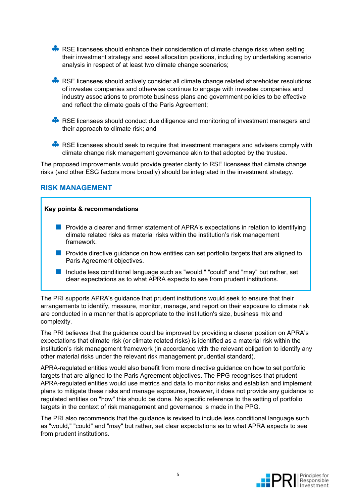**RSE licensees should enhance their consideration of climate change risks when setting** their investment strategy and asset allocation positions, including by undertaking scenario analysis in respect of at least two climate change scenarios;

RSE licensees should actively consider all climate change related shareholder resolutions of investee companies and otherwise continue to engage with investee companies and industry associations to promote business plans and government policies to be effective and reflect the climate goals of the Paris Agreement;

- RSE licensees should conduct due diligence and monitoring of investment managers and their approach to climate risk; and
- RSE licensees should seek to require that investment managers and advisers comply with climate change risk management governance akin to that adopted by the trustee.

The proposed improvements would provide greater clarity to RSE licensees that climate change risks (and other ESG factors more broadly) should be integrated in the investment strategy.

### **RISK MANAGEMENT**

#### **Key points & recommendations**

- Provide a clearer and firmer statement of APRA's expectations in relation to identifying climate related risks as material risks within the institution's risk management framework.
- Provide directive guidance on how entities can set portfolio targets that are aligned to Paris Agreement objectives.
- Include less conditional language such as "would," "could" and "may" but rather, set clear expectations as to what APRA expects to see from prudent institutions.

The PRI supports APRA's guidance that prudent institutions would seek to ensure that their arrangements to identify, measure, monitor, manage, and report on their exposure to climate risk are conducted in a manner that is appropriate to the institution's size, business mix and complexity.

The PRI believes that the guidance could be improved by providing a clearer position on APRA's expectations that climate risk (or climate related risks) is identified as a material risk within the institution's risk management framework (in accordance with the relevant obligation to identify any other material risks under the relevant risk management prudential standard).

APRA-regulated entities would also benefit from more directive guidance on how to set portfolio targets that are aligned to the Paris Agreement objectives. The PPG recognises that prudent APRA-regulated entities would use metrics and data to monitor risks and establish and implement plans to mitigate these risks and manage exposures, however, it does not provide any guidance to regulated entities on "how" this should be done. No specific reference to the setting of portfolio targets in the context of risk management and governance is made in the PPG.

The PRI also recommends that the guidance is revised to include less conditional language such as "would," "could" and "may" but rather, set clear expectations as to what APRA expects to see from prudent institutions.

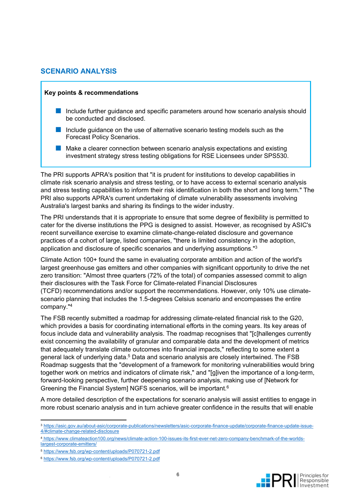### **SCENARIO ANALYSIS**

#### **Key points & recommendations**

- Include further guidance and specific parameters around how scenario analysis should be conducted and disclosed.
- Include guidance on the use of alternative scenario testing models such as the Forecast Policy Scenarios.
- Make a clearer connection between scenario analysis expectations and existing investment strategy stress testing obligations for RSE Licensees under SPS530.

The PRI supports APRA's position that "it is prudent for institutions to develop capabilities in climate risk scenario analysis and stress testing, or to have access to external scenario analysis and stress testing capabilities to inform their risk identification in both the short and long term." The PRI also supports APRA's current undertaking of climate vulnerability assessments involving Australia's largest banks and sharing its findings to the wider industry.

The PRI understands that it is appropriate to ensure that some degree of flexibility is permitted to cater for the diverse institutions the PPG is designed to assist. However, as recognised by ASIC's recent surveillance exercise to examine climate-change-related disclosure and governance practices of a cohort of large, listed companies, "there is limited consistency in the adoption, application and disclosure of specific scenarios and underlying assumptions."<sup>3</sup>

Climate Action 100+ found the same in evaluating corporate ambition and action of the world's largest greenhouse gas emitters and other companies with significant opportunity to drive the net zero transition: "Almost three quarters (72% of the total) of companies assessed commit to align their disclosures with the Task Force for Climate-related Financial Disclosures (TCFD) recommendations and/or support the recommendations. However, only 10% use climatescenario planning that includes the 1.5-degrees Celsius scenario and encompasses the entire company."<sup>4</sup>

The FSB recently submitted a roadmap for addressing climate-related financial risk to the G20, which provides a basis for coordinating international efforts in the coming years. Its key areas of focus include data and vulnerability analysis. The roadmap recognises that "[c]hallenges currently exist concerning the availability of granular and comparable data and the development of metrics that adequately translate climate outcomes into financial impacts," reflecting to some extent a general lack of underlying data.<sup>5</sup> Data and scenario analysis are closely intertwined. The FSB Roadmap suggests that the "development of a framework for monitoring vulnerabilities would bring together work on metrics and indicators of climate risk," and "[g]iven the importance of a long-term, forward-looking perspective, further deepening scenario analysis, making use of [Network for Greening the Financial System] NGFS scenarios, will be important.<sup>6</sup>

A more detailed description of the expectations for scenario analysis will assist entities to engage in more robust scenario analysis and in turn achieve greater confidence in the results that will enable



<sup>3</sup> https://asic.gov.au/about-asic/corporate-publications/newsletters/asic-corporate-finance-update/corporate-finance-update-issue-4/#climate-change-related-disclosure

<sup>4</sup> https://www.climateaction100.org/news/climate-action-100-issues-its-first-ever-net-zero-company-benchmark-of-the-worldslargest-corporate-emitters/

<sup>5</sup> https://www.fsb.org/wp-content/uploads/P070721-2.pdf

<sup>6</sup> https://www.fsb.org/wp-content/uploads/P070721-2.pdf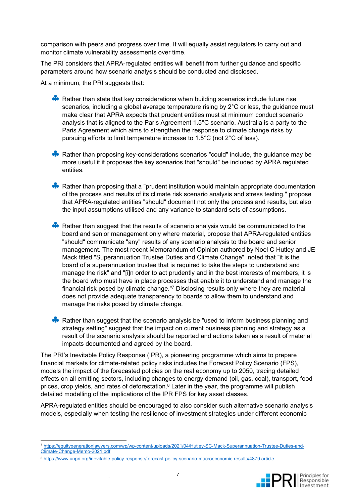comparison with peers and progress over time. It will equally assist regulators to carry out and monitor climate vulnerability assessments over time.

The PRI considers that APRA-regulated entities will benefit from further guidance and specific parameters around how scenario analysis should be conducted and disclosed.

At a minimum, the PRI suggests that:

- Rather than state that key considerations when building scenarios include future rise scenarios, including a global average temperature rising by 2°C or less, the guidance must make clear that APRA expects that prudent entities must at minimum conduct scenario analysis that is aligned to the Paris Agreement 1.5°C scenario. Australia is a party to the Paris Agreement which aims to strengthen the response to climate change risks by pursuing efforts to limit temperature increase to 1.5°C (not 2°C of less).
- Rather than proposing key-considerations scenarios "could" include, the guidance may be more useful if it proposes the key scenarios that "should" be included by APRA regulated entities.
- Rather than proposing that a "prudent institution would maintain appropriate documentation of the process and results of its climate risk scenario analysis and stress testing," propose that APRA-regulated entities "should" document not only the process and results, but also the input assumptions utilised and any variance to standard sets of assumptions.
- Rather than suggest that the results of scenario analysis would be communicated to the board and senior management only where material, propose that APRA-regulated entities "should" communicate "any" results of any scenario analysis to the board and senior management. The most recent Memorandum of Opinion authored by Noel C Hutley and JE Mack titled "Superannuation Trustee Duties and Climate Change" noted that "it is the board of a superannuation trustee that is required to take the steps to understand and manage the risk" and "[i]n order to act prudently and in the best interests of members, it is the board who must have in place processes that enable it to understand and manage the financial risk posed by climate change."<sup>7</sup> Disclosing results only where they are material does not provide adequate transparency to boards to allow them to understand and manage the risks posed by climate change.
- Rather than suggest that the scenario analysis be "used to inform business planning and strategy setting" suggest that the impact on current business planning and strategy as a result of the scenario analysis should be reported and actions taken as a result of material impacts documented and agreed by the board.

The PRI's Inevitable Policy Response (IPR), a pioneering programme which aims to prepare financial markets for climate-related policy risks includes the Forecast Policy Scenario (FPS), models the impact of the forecasted policies on the real economy up to 2050, tracing detailed effects on all emitting sectors, including changes to energy demand (oil, gas, coal), transport, food prices, crop yields, and rates of deforestation. $8$  Later in the year, the programme will publish detailed modelling of the implications of the IPR FPS for key asset classes.

APRA-regulated entities should be encouraged to also consider such alternative scenario analysis models, especially when testing the resilience of investment strategies under different economic

<sup>8</sup> https://www.unpri.org/inevitable-policy-response/forecast-policy-scenario-macroeconomic-results/4879.article



<sup>7</sup> https://equitygenerationlawyers.com/wp/wp-content/uploads/2021/04/Hutley-SC-Mack-Superannuation-Trustee-Duties-and-Climate-Change-Memo-2021.pdf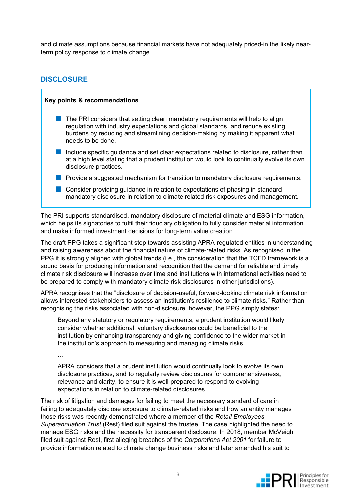and climate assumptions because financial markets have not adequately priced-in the likely nearterm policy response to climate change.

### **DISCLOSURE**

…

### **Key points & recommendations**

- $\blacksquare$  The PRI considers that setting clear, mandatory requirements will help to align regulation with industry expectations and global standards, and reduce existing burdens by reducing and streamlining decision-making by making it apparent what needs to be done.
- Include specific quidance and set clear expectations related to disclosure, rather than at a high level stating that a prudent institution would look to continually evolve its own disclosure practices.
- Provide a suggested mechanism for transition to mandatory disclosure requirements.
- Consider providing quidance in relation to expectations of phasing in standard mandatory disclosure in relation to climate related risk exposures and management.

The PRI supports standardised, mandatory disclosure of material climate and ESG information, which helps its signatories to fulfil their fiduciary obligation to fully consider material information and make informed investment decisions for long-term value creation.

The draft PPG takes a significant step towards assisting APRA-regulated entities in understanding and raising awareness about the financial nature of climate-related risks. As recognised in the PPG it is strongly aligned with global trends (i.e., the consideration that the TCFD framework is a sound basis for producing information and recognition that the demand for reliable and timely climate risk disclosure will increase over time and institutions with international activities need to be prepared to comply with mandatory climate risk disclosures in other jurisdictions).

APRA recognises that the "disclosure of decision-useful, forward-looking climate risk information allows interested stakeholders to assess an institution's resilience to climate risks." Rather than recognising the risks associated with non-disclosure, however, the PPG simply states:

Beyond any statutory or regulatory requirements, a prudent institution would likely consider whether additional, voluntary disclosures could be beneficial to the institution by enhancing transparency and giving confidence to the wider market in the institution's approach to measuring and managing climate risks.

APRA considers that a prudent institution would continually look to evolve its own disclosure practices, and to regularly review disclosures for comprehensiveness, relevance and clarity, to ensure it is well-prepared to respond to evolving expectations in relation to climate-related disclosures.

The risk of litigation and damages for failing to meet the necessary standard of care in failing to adequately disclose exposure to climate-related risks and how an entity manages those risks was recently demonstrated where a member of the *Retail Employees Superannuation Trust* (Rest) filed suit against the trustee. The case highlighted the need to manage ESG risks and the necessity for transparent disclosure. In 2018, member McVeigh filed suit against Rest, first alleging breaches of the *Corporations Act 2001* for failure to provide information related to climate change business risks and later amended his suit to

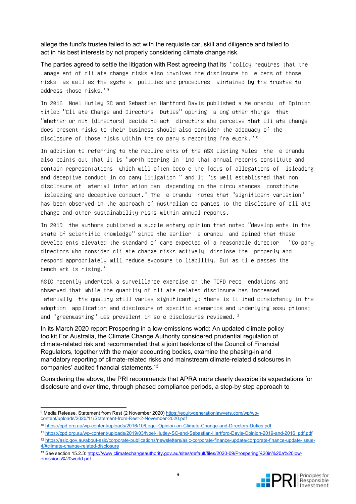allege the fund's trustee failed to act with the requisite car, skill and diligence and failed to act in his best interests by not properly considering climate change risk.

The parties agreed to settle the litigation with Rest agreeing that its "policy requires that the anage ent of cli ate change risks also involves the disclosure to e bers of those risks as well as the syste s policies and procedures aintained by the trustee to address those risks."<sup>9</sup>

In 2016 Noel Hutley SC and Sebastian Hartford Davis published a Me orandu of Opinion titled "Cli ate Change and Directors Duties" opining a ong other things that "whether or not [directors] decide to act directors who perceive that cli ate change does present risks to their business should also consider the adequacy of the disclosure of those risks within the co pany s reporting fra ework."  $^{\circ}$ 

In addition to referring to the require ents of the ASX Listing Rules the e orandu also points out that it is "worth bearing in ind that annual reports constitute and contain representations which will often beco e the focus of allegations of isleading and deceptive conduct in co pany litigation " and it "is well established that non disclosure of aterial infor ation can depending on the circu stances constitute

isleading and deceptive conduct." The e orandu notes that "significant variation" has been observed in the approach of Australian co panies to the disclosure of cli ate change and other sustainability risks within annual reports.

In 2019 the authors published a supple entary opinion that noted "develop ents in the state of scientific knowledge" since the earlier e orandu and opined that these develop ents elevated the standard of care expected of a reasonable director "Co pany directors who consider cli ate change risks actively disclose the properly and respond appropriately will reduce exposure to liability. But as ti e passes the bench ark is rising."

ASIC recently undertook a surveillance exercise on the TCFD reco endations and observed that while the quantity of cli ate related disclosure has increased aterially the quality still varies significantly; there is li ited consistency in the adoption application and disclosure of specific scenarios and underlying assu ptions; and "greenwashing" was prevalent in so e disclosures reviewed. <sup>2</sup>

In its March 2020 report Prospering in a low-emissions world: An updated climate policy toolkit For Australia, the Climate Change Authority considered prudential regulation of climate-related risk and recommended that a joint taskforce of the Council of Financial Regulators, together with the major accounting bodies, examine the phasing-in and mandatory reporting of climate-related risks and mainstream climate-related disclosures in companies' audited financial statements.<sup>13</sup>

Considering the above, the PRI recommends that APRA more clearly describe its expectations for disclosure and over time, through phased compliance periods, a step-by step approach to

<sup>13</sup> See section 15.2.3: https://www.climatechangeauthority.gov.au/sites/default/files/2020-09/Prospering%20in%20a%20lowemissions%20world.pdf



<sup>&</sup>lt;sup>9</sup> Media Release, Statement from Rest (2 November 2020) https://equitygenerationlawyers.com/wp/wpcontent/uploads/2020/11/Statement-from-Rest-2-November-2020.pdf

<sup>10</sup> https://cpd.org.au/wp-content/uploads/2016/10/Legal-Opinion-on-Climate-Change-and-Directors-Duties.pdf

<sup>11</sup> https://cpd.org.au/wp-content/uploads/2019/03/Noel-Hutley-SC-and-Sebastian-Hartford-Davis-Opinion-2019-and-2016 pdf.pdf

<sup>12</sup> https://asic.gov.au/about-asic/corporate-publications/newsletters/asic-corporate-finance-update/corporate-finance-update-issue-4/#climate-change-related-disclosure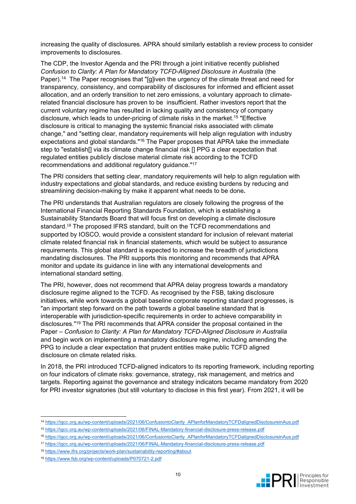increasing the quality of disclosures. APRA should similarly establish a review process to consider improvements to disclosures.

The CDP, the Investor Agenda and the PRI through a joint initiative recently published *Confusion to Clarity: A Plan for Mandatory TCFD-Aligned Disclosure in Australia* (the Paper).<sup>14</sup> The Paper recognises that "[g]iven the urgency of the climate threat and need for transparency, consistency, and comparability of disclosures for informed and efficient asset allocation, and an orderly transition to net zero emissions, a voluntary approach to climaterelated financial disclosure has proven to be insufficient. Rather investors report that the current voluntary regime has resulted in lacking quality and consistency of company disclosure, which leads to under-pricing of climate risks in the market.<sup>15</sup> "Effective disclosure is critical to managing the systemic financial risks associated with climate change," and "setting clear, mandatory requirements will help align regulation with industry expectations and global standards."<sup>16</sup> The Paper proposes that APRA take the immediate step to "establish[] via its climate change financial risk [] PPG a clear expectation that regulated entities publicly disclose material climate risk according to the TCFD recommendations and additional regulatory guidance."<sup>17</sup>

The PRI considers that setting clear, mandatory requirements will help to align regulation with industry expectations and global standards, and reduce existing burdens by reducing and streamlining decision-making by make it apparent what needs to be done**.**

The PRI understands that Australian regulators are closely following the progress of the International Financial Reporting Standards Foundation, which is establishing a Sustainability Standards Board that will focus first on developing a climate disclosure standard.18 The proposed IFRS standard, built on the TCFD recommendations and supported by IOSCO, would provide a consistent standard for inclusion of relevant material climate related financial risk in financial statements, which would be subject to assurance requirements. This global standard is expected to increase the breadth of jurisdictions mandating disclosures. The PRI supports this monitoring and recommends that APRA monitor and update its guidance in line with any international developments and international standard setting.

The PRI, however, does not recommend that APRA delay progress towards a mandatory disclosure regime aligned to the TCFD. As recognised by the FSB, taking disclosure initiatives, while work towards a global baseline corporate reporting standard progresses, is "an important step forward on the path towards a global baseline standard that is interoperable with jurisdiction-specific requirements in order to achieve comparability in disclosures."<sup>19</sup> The PRI recommends that APRA consider the proposal contained in the Paper – *Confusion to Clarity: A Plan for Mandatory TCFD-Aligned Disclosure in Australia*  and begin work on implementing a mandatory disclosure regime, including amending the PPG to include a clear expectation that prudent entities make public TCFD aligned disclosure on climate related risks.

In 2018, the PRI introduced TCFD-aligned indicators to its reporting framework, including reporting on four indicators of climate risks: governance, strategy, risk management, and metrics and targets. Reporting against the governance and strategy indicators became mandatory from 2020 for PRI investor signatories (but still voluntary to disclose in this first year). From 2021, it will be



<sup>14</sup> https://igcc.org.au/wp-content/uploads/2021/06/ConfusiontoClarity APlanforMandatoryTCFDalignedDisclosureinAus.pdf

<sup>15</sup> https://igcc.org.au/wp-content/uploads/2021/06/FINAL-Mandatory-financial-disclosure-press-release.pdf

<sup>16</sup> https://igcc.org.au/wp-content/uploads/2021/06/ConfusiontoClarity\_APlanforMandatoryTCFDalignedDisclosureinAus.pdf

<sup>17</sup> https://igcc.org.au/wp-content/uploads/2021/06/FINAL-Mandatory-financial-disclosure-press-release.pdf

<sup>18</sup> https://www.ifrs.org/projects/work-plan/sustainability-reporting/#about

<sup>19</sup> https://www.fsb.org/wp-content/uploads/P070721-2.pdf